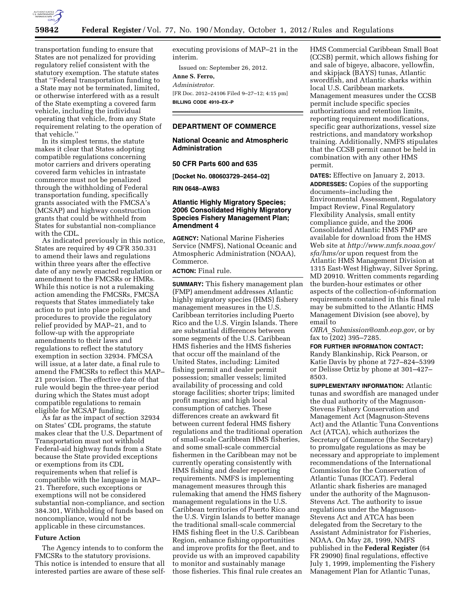

transportation funding to ensure that States are not penalized for providing regulatory relief consistent with the statutory exemption. The statute states that ''Federal transportation funding to a State may not be terminated, limited, or otherwise interfered with as a result of the State exempting a covered farm vehicle, including the individual operating that vehicle, from any State requirement relating to the operation of that vehicle.''

In its simplest terms, the statute makes it clear that States adopting compatible regulations concerning motor carriers and drivers operating covered farm vehicles in intrastate commerce must not be penalized through the withholding of Federal transportation funding, specifically grants associated with the FMCSA's (MCSAP) and highway construction grants that could be withheld from States for substantial non-compliance with the CDL.

As indicated previously in this notice, States are required by 49 CFR 350.331 to amend their laws and regulations within three years after the effective date of any newly enacted regulation or amendment to the FMCSRs or HMRs. While this notice is not a rulemaking action amending the FMCSRs, FMCSA requests that States immediately take action to put into place policies and procedures to provide the regulatory relief provided by MAP–21, and to follow-up with the appropriate amendments to their laws and regulations to reflect the statutory exemption in section 32934. FMCSA will issue, at a later date, a final rule to amend the FMCSRs to reflect this MAP– 21 provision. The effective date of that rule would begin the three-year period during which the States must adopt compatible regulations to remain eligible for MCSAP funding.

As far as the impact of section 32934 on States' CDL programs, the statute makes clear that the U.S. Department of Transportation must not withhold Federal-aid highway funds from a State because the State provided exceptions or exemptions from its CDL requirements when that relief is compatible with the language in MAP– 21. Therefore, such exceptions or exemptions will not be considered substantial non-compliance, and section 384.301, Withholding of funds based on noncompliance, would not be applicable in these circumstances.

### **Future Action**

The Agency intends to to conform the FMCSRs to the statutory provisions. This notice is intended to ensure that all interested parties are aware of these selfexecuting provisions of MAP–21 in the interim.

Issued on: September 26, 2012. **Anne S. Ferro,**  *Administrator.*  [FR Doc. 2012–24106 Filed 9–27–12; 4:15 pm] **BILLING CODE 4910–EX–P** 

## **DEPARTMENT OF COMMERCE**

## **National Oceanic and Atmospheric Administration**

#### **50 CFR Parts 600 and 635**

**[Docket No. 080603729–2454–02]** 

**RIN 0648–AW83** 

## **Atlantic Highly Migratory Species; 2006 Consolidated Highly Migratory Species Fishery Management Plan; Amendment 4**

**AGENCY:** National Marine Fisheries Service (NMFS), National Oceanic and Atmospheric Administration (NOAA), Commerce.

**ACTION:** Final rule.

**SUMMARY:** This fishery management plan (FMP) amendment addresses Atlantic highly migratory species (HMS) fishery management measures in the U.S. Caribbean territories including Puerto Rico and the U.S. Virgin Islands. There are substantial differences between some segments of the U.S. Caribbean HMS fisheries and the HMS fisheries that occur off the mainland of the United States, including: Limited fishing permit and dealer permit possession; smaller vessels; limited availability of processing and cold storage facilities; shorter trips; limited profit margins; and high local consumption of catches. These differences create an awkward fit between current federal HMS fishery regulations and the traditional operation of small-scale Caribbean HMS fisheries, and some small-scale commercial fishermen in the Caribbean may not be currently operating consistently with HMS fishing and dealer reporting requirements. NMFS is implementing management measures through this rulemaking that amend the HMS fishery management regulations in the U.S. Caribbean territories of Puerto Rico and the U.S. Virgin Islands to better manage the traditional small-scale commercial HMS fishing fleet in the U.S. Caribbean Region, enhance fishing opportunities and improve profits for the fleet, and to provide us with an improved capability to monitor and sustainably manage those fisheries. This final rule creates an

HMS Commercial Caribbean Small Boat (CCSB) permit, which allows fishing for and sale of bigeye, albacore, yellowfin, and skipjack (BAYS) tunas, Atlantic swordfish, and Atlantic sharks within local U.S. Caribbean markets. Management measures under the CCSB permit include specific species authorizations and retention limits, reporting requirement modifications, specific gear authorizations, vessel size restrictions, and mandatory workshop training. Additionally, NMFS stipulates that the CCSB permit cannot be held in combination with any other HMS permit.

**DATES:** Effective on January 2, 2013. **ADDRESSES:** Copies of the supporting documents–including the Environmental Assessment, Regulatory Impact Review, Final Regulatory Flexibility Analysis, small entity compliance guide, and the 2006 Consolidated Atlantic HMS FMP are available for download from the HMS Web site at *[http://www.nmfs.noaa.gov/](http://www.nmfs.noaa.gov/sfa/hms/or) [sfa/hms/or](http://www.nmfs.noaa.gov/sfa/hms/or)* upon request from the Atlantic HMS Management Division at 1315 East-West Highway, Silver Spring, MD 20910. Written comments regarding the burden-hour estimates or other aspects of the collection-of-information requirements contained in this final rule may be submitted to the Atlantic HMS Management Division (see above), by email to

*OIRA*\_*[Submission@omb.eop.gov,](mailto:OIRA_Submission@omb.eop.gov)* or by fax to (202) 395–7285.

**FOR FURTHER INFORMATION CONTACT:**  Randy Blankinship, Rick Pearson, or Katie Davis by phone at 727–824–5399 or Delisse Ortiz by phone at 301–427– 8503.

**SUPPLEMENTARY INFORMATION:** Atlantic tunas and swordfish are managed under the dual authority of the Magnuson-Stevens Fishery Conservation and Management Act (Magnuson-Stevens Act) and the Atlantic Tuna Conventions Act (ATCA), which authorizes the Secretary of Commerce (the Secretary) to promulgate regulations as may be necessary and appropriate to implement recommendations of the International Commission for the Conservation of Atlantic Tunas (ICCAT). Federal Atlantic shark fisheries are managed under the authority of the Magnuson-Stevens Act. The authority to issue regulations under the Magnuson-Stevens Act and ATCA has been delegated from the Secretary to the Assistant Administrator for Fisheries, NOAA. On May 28, 1999, NMFS published in the **Federal Register** (64 FR 29090) final regulations, effective July 1, 1999, implementing the Fishery Management Plan for Atlantic Tunas,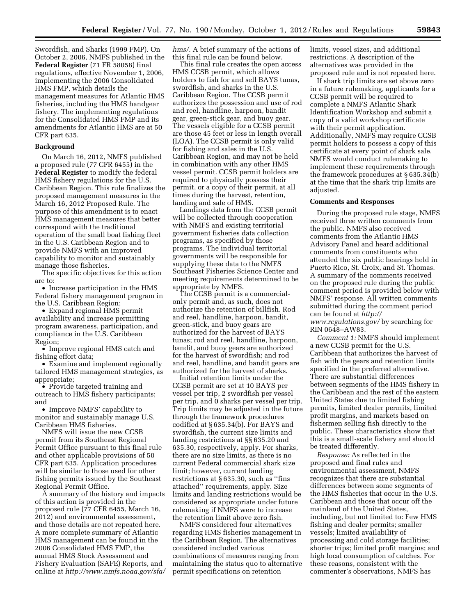Swordfish, and Sharks (1999 FMP). On October 2, 2006, NMFS published in the **Federal Register** (71 FR 58058) final regulations, effective November 1, 2006, implementing the 2006 Consolidated HMS FMP, which details the management measures for Atlantic HMS fisheries, including the HMS handgear fishery. The implementing regulations for the Consolidated HMS FMP and its amendments for Atlantic HMS are at 50 CFR part 635.

#### **Background**

On March 16, 2012, NMFS published a proposed rule (77 CFR 6455) in the **Federal Register** to modify the federal HMS fishery regulations for the U.S. Caribbean Region. This rule finalizes the proposed management measures in the March 16, 2012 Proposed Rule. The purpose of this amendment is to enact HMS management measures that better correspond with the traditional operation of the small boat fishing fleet in the U.S. Caribbean Region and to provide NMFS with an improved capability to monitor and sustainably manage those fisheries.

The specific objectives for this action are to:

• Increase participation in the HMS Federal fishery management program in the U.S. Caribbean Region;

• Expand regional HMS permit availability and increase permitting program awareness, participation, and compliance in the U.S. Caribbean Region;

• Improve regional HMS catch and fishing effort data;

• Examine and implement regionally tailored HMS management strategies, as appropriate;

• Provide targeted training and outreach to HMS fishery participants; and

• Improve NMFS' capability to monitor and sustainably manage U.S. Caribbean HMS fisheries.

NMFS will issue the new CCSB permit from its Southeast Regional Permit Office pursuant to this final rule and other applicable provisions of 50 CFR part 635. Application procedures will be similar to those used for other fishing permits issued by the Southeast Regional Permit Office.

A summary of the history and impacts of this action is provided in the proposed rule (77 CFR 6455, March 16, 2012) and environmental assessment, and those details are not repeated here. A more complete summary of Atlantic HMS management can be found in the 2006 Consolidated HMS FMP, the annual HMS Stock Assessment and Fishery Evaluation (SAFE) Reports, and online at *[http://www.nmfs.noaa.gov/sfa/](http://www.nmfs.noaa.gov/sfa/hms/)*  *[hms/.](http://www.nmfs.noaa.gov/sfa/hms/)* A brief summary of the actions of this final rule can be found below.

This final rule creates the open access HMS CCSB permit, which allows holders to fish for and sell BAYS tunas, swordfish, and sharks in the U.S. Caribbean Region. The CCSB permit authorizes the possession and use of rod and reel, handline, harpoon, bandit gear, green-stick gear, and buoy gear. The vessels eligible for a CCSB permit are those 45 feet or less in length overall (LOA). The CCSB permit is only valid for fishing and sales in the U.S. Caribbean Region, and may not be held in combination with any other HMS vessel permit. CCSB permit holders are required to physically possess their permit, or a copy of their permit, at all times during the harvest, retention, landing and sale of HMS.

Landings data from the CCSB permit will be collected through cooperation with NMFS and existing territorial government fisheries data collection programs, as specified by those programs. The individual territorial governments will be responsible for supplying these data to the NMFS Southeast Fisheries Science Center and meeting requirements determined to be appropriate by NMFS.

The CCSB permit is a commercialonly permit and, as such, does not authorize the retention of billfish. Rod and reel, handline, harpoon, bandit, green-stick, and buoy gears are authorized for the harvest of BAYS tunas; rod and reel, handline, harpoon, bandit, and buoy gears are authorized for the harvest of swordfish; and rod and reel, handline, and bandit gears are authorized for the harvest of sharks.

Initial retention limits under the CCSB permit are set at 10 BAYS per vessel per trip, 2 swordfish per vessel per trip, and 0 sharks per vessel per trip. Trip limits may be adjusted in the future through the framework procedures codified at § 635.34(b). For BAYS and swordfish, the current size limits and landing restrictions at §§ 635.20 and 635.30, respectively, apply. For sharks, there are no size limits, as there is no current Federal commercial shark size limit; however, current landing restrictions at § 635.30, such as ''fins attached'' requirements, apply. Size limits and landing restrictions would be considered as appropriate under future rulemaking if NMFS were to increase the retention limit above zero fish.

NMFS considered four alternatives regarding HMS fisheries management in the Caribbean Region. The alternatives considered included various combinations of measures ranging from maintaining the status quo to alternative permit specifications on retention

limits, vessel sizes, and additional restrictions. A description of the alternatives was provided in the proposed rule and is not repeated here.

If shark trip limits are set above zero in a future rulemaking, applicants for a CCSB permit will be required to complete a NMFS Atlantic Shark Identification Workshop and submit a copy of a valid workshop certificate with their permit application. Additionally, NMFS may require CCSB permit holders to possess a copy of this certificate at every point of shark sale. NMFS would conduct rulemaking to implement these requirements through the framework procedures at § 635.34(b) at the time that the shark trip limits are adjusted.

#### **Comments and Responses**

During the proposed rule stage, NMFS received three written comments from the public. NMFS also received comments from the Atlantic HMS Advisory Panel and heard additional comments from constituents who attended the six public hearings held in Puerto Rico, St. Croix, and St. Thomas. A summary of the comments received on the proposed rule during the public comment period is provided below with NMFS' response. All written comments submitted during the comment period can be found at *[http://](http://www.regulations.gov/) [www.regulations.gov/](http://www.regulations.gov/)* by searching for

RIN 0648–AW83.

*Comment 1:* NMFS should implement a new CCSB permit for the U.S. Caribbean that authorizes the harvest of fish with the gears and retention limits specified in the preferred alternative. There are substantial differences between segments of the HMS fishery in the Caribbean and the rest of the eastern United States due to limited fishing permits, limited dealer permits, limited profit margins, and markets based on fishermen selling fish directly to the public. These characteristics show that this is a small-scale fishery and should be treated differently.

*Response:* As reflected in the proposed and final rules and environmental assessment, NMFS recognizes that there are substantial differences between some segments of the HMS fisheries that occur in the U.S. Caribbean and those that occur off the mainland of the United States, including, but not limited to: Few HMS fishing and dealer permits; smaller vessels; limited availability of processing and cold storage facilities; shorter trips; limited profit margins; and high local consumption of catches. For these reasons, consistent with the commenter's observations, NMFS has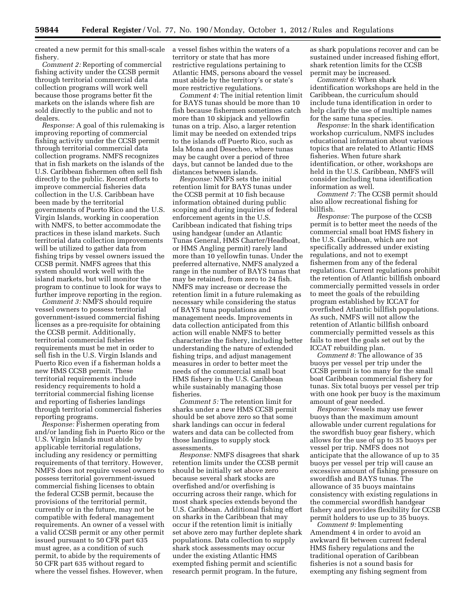created a new permit for this small-scale fishery.

*Comment 2:* Reporting of commercial fishing activity under the CCSB permit through territorial commercial data collection programs will work well because those programs better fit the markets on the islands where fish are sold directly to the public and not to dealers.

*Response:* A goal of this rulemaking is improving reporting of commercial fishing activity under the CCSB permit through territorial commercial data collection programs. NMFS recognizes that in fish markets on the islands of the U.S. Caribbean fishermen often sell fish directly to the public. Recent efforts to improve commercial fisheries data collection in the U.S. Caribbean have been made by the territorial governments of Puerto Rico and the U.S. Virgin Islands, working in cooperation with NMFS, to better accommodate the practices in these island markets. Such territorial data collection improvements will be utilized to gather data from fishing trips by vessel owners issued the CCSB permit. NMFS agrees that this system should work well with the island markets, but will monitor the program to continue to look for ways to further improve reporting in the region.

*Comment 3:* NMFS should require vessel owners to possess territorial government-issued commercial fishing licenses as a pre-requisite for obtaining the CCSB permit. Additionally, territorial commercial fisheries requirements must be met in order to sell fish in the U.S. Virgin Islands and Puerto Rico even if a fisherman holds a new HMS CCSB permit. These territorial requirements include residency requirements to hold a territorial commercial fishing license and reporting of fisheries landings through territorial commercial fisheries reporting programs.

*Response:* Fishermen operating from and/or landing fish in Puerto Rico or the U.S. Virgin Islands must abide by applicable territorial regulations, including any residency or permitting requirements of that territory. However, NMFS does not require vessel owners to possess territorial government-issued commercial fishing licenses to obtain the federal CCSB permit, because the provisions of the territorial permit, currently or in the future, may not be compatible with federal management requirements. An owner of a vessel with a valid CCSB permit or any other permit issued pursuant to 50 CFR part 635 must agree, as a condition of such permit, to abide by the requirements of 50 CFR part 635 without regard to where the vessel fishes. However, when

a vessel fishes within the waters of a territory or state that has more restrictive regulations pertaining to Atlantic HMS, persons aboard the vessel must abide by the territory's or state's more restrictive regulations.

*Comment 4:* The initial retention limit for BAYS tunas should be more than 10 fish because fishermen sometimes catch more than 10 skipjack and yellowfin tunas on a trip. Also, a larger retention limit may be needed on extended trips to the islands off Puerto Rico, such as Isla Mona and Desecheo, where tunas may be caught over a period of three days, but cannot be landed due to the distances between islands.

*Response:* NMFS sets the initial retention limit for BAYS tunas under the CCSB permit at 10 fish because information obtained during public scoping and during inquiries of federal enforcement agents in the U.S. Caribbean indicated that fishing trips using handgear (under an Atlantic Tunas General, HMS Charter/Headboat, or HMS Angling permit) rarely land more than 10 yellowfin tunas. Under the preferred alternative, NMFS analyzed a range in the number of BAYS tunas that may be retained, from zero to 24 fish. NMFS may increase or decrease the retention limit in a future rulemaking as necessary while considering the status of BAYS tuna populations and management needs. Improvements in data collection anticipated from this action will enable NMFS to better characterize the fishery, including better understanding the nature of extended fishing trips, and adjust management measures in order to better meet the needs of the commercial small boat HMS fishery in the U.S. Caribbean while sustainably managing those fisheries.

*Comment 5:* The retention limit for sharks under a new HMS CCSB permit should be set above zero so that some shark landings can occur in federal waters and data can be collected from those landings to supply stock assessments.

*Response:* NMFS disagrees that shark retention limits under the CCSB permit should be initially set above zero because several shark stocks are overfished and/or overfishing is occurring across their range, which for most shark species extends beyond the U.S. Caribbean. Additional fishing effort on sharks in the Caribbean that may occur if the retention limit is initially set above zero may further deplete shark populations. Data collection to supply shark stock assessments may occur under the existing Atlantic HMS exempted fishing permit and scientific research permit program. In the future,

as shark populations recover and can be sustained under increased fishing effort, shark retention limits for the CCSB permit may be increased.

*Comment 6:* When shark identification workshops are held in the Caribbean, the curriculum should include tuna identification in order to help clarify the use of multiple names for the same tuna species.

*Response:* In the shark identification workshop curriculum, NMFS includes educational information about various topics that are related to Atlantic HMS fisheries. When future shark identification, or other, workshops are held in the U.S. Caribbean, NMFS will consider including tuna identification information as well.

*Comment 7:* The CCSB permit should also allow recreational fishing for billfish.

*Response:* The purpose of the CCSB permit is to better meet the needs of the commercial small boat HMS fishery in the U.S. Caribbean, which are not specifically addressed under existing regulations, and not to exempt fishermen from any of the federal regulations. Current regulations prohibit the retention of Atlantic billfish onboard commercially permitted vessels in order to meet the goals of the rebuilding program established by ICCAT for overfished Atlantic billfish populations. As such, NMFS will not allow the retention of Atlantic billfish onboard commercially permitted vessels as this fails to meet the goals set out by the ICCAT rebuilding plan.

*Comment 8:* The allowance of 35 buoys per vessel per trip under the CCSB permit is too many for the small boat Caribbean commercial fishery for tunas. Six total buoys per vessel per trip with one hook per buoy is the maximum amount of gear needed.

*Response:* Vessels may use fewer buoys than the maximum amount allowable under current regulations for the swordfish buoy gear fishery, which allows for the use of up to 35 buoys per vessel per trip. NMFS does not anticipate that the allowance of up to 35 buoys per vessel per trip will cause an excessive amount of fishing pressure on swordfish and BAYS tunas. The allowance of 35 buoys maintains consistency with existing regulations in the commercial swordfish handgear fishery and provides flexibility for CCSB permit holders to use up to 35 buoys.

*Comment 9:* Implementing Amendment 4 in order to avoid an awkward fit between current federal HMS fishery regulations and the traditional operation of Caribbean fisheries is not a sound basis for exempting any fishing segment from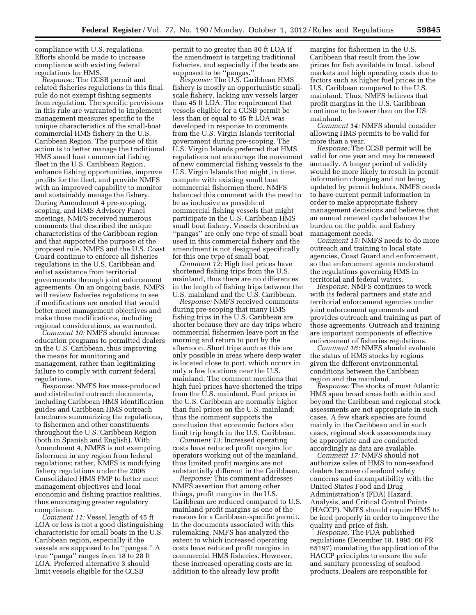compliance with U.S. regulations. Efforts should be made to increase compliance with existing federal regulations for HMS.

*Response:* The CCSB permit and related fisheries regulations in this final rule do not exempt fishing segments from regulation. The specific provisions in this rule are warranted to implement management measures specific to the unique characteristics of the small-boat commercial HMS fishery in the U.S. Caribbean Region. The purpose of this action is to better manage the traditional HMS small boat commercial fishing fleet in the U.S. Caribbean Region, enhance fishing opportunities, improve profits for the fleet, and provide NMFS with an improved capability to monitor and sustainably manage the fishery. During Amendment 4 pre-scoping, scoping, and HMS Advisory Panel meetings, NMFS received numerous comments that described the unique characteristics of the Caribbean region and that supported the purpose of the proposed rule. NMFS and the U.S. Coast Guard continue to enforce all fisheries regulations in the U.S. Caribbean and enlist assistance from territorial governments through joint enforcement agreements. On an ongoing basis, NMFS will review fisheries regulations to see if modifications are needed that would better meet management objectives and make those modifications, including regional considerations, as warranted.

*Comment 10:* NMFS should increase education programs to permitted dealers in the U.S. Caribbean, thus improving the means for monitoring and management, rather than legitimizing failure to comply with current federal regulations.

*Response:* NMFS has mass-produced and distributed outreach documents, including Caribbean HMS identification guides and Caribbean HMS outreach brochures summarizing the regulations, to fishermen and other constituents throughout the U.S. Caribbean Region (both in Spanish and English). With Amendment 4, NMFS is not exempting fishermen in any region from federal regulations; rather, NMFS is modifying fishery regulations under the 2006 Consolidated HMS FMP to better meet management objectives and local economic and fishing practice realities, thus encouraging greater regulatory compliance.

*Comment 11:* Vessel length of 45 ft LOA or less is not a good distinguishing characteristic for small boats in the U.S. Caribbean region, especially if the vessels are supposed to be ''pangas.'' A true ''panga'' ranges from 18 to 28 ft LOA. Preferred alternative 3 should limit vessels eligible for the CCSB

permit to no greater than 30 ft LOA if the amendment is targeting traditional fisheries, and especially if the boats are supposed to be "pangas."

*Response:* The U.S. Caribbean HMS fishery is mostly an opportunistic smallscale fishery, lacking any vessels larger than 45 ft LOA. The requirement that vessels eligible for a CCSB permit be less than or equal to 45 ft LOA was developed in response to comments from the U.S. Virgin Islands territorial government during pre-scoping. The U.S. Virgin Islands preferred that HMS regulations not encourage the movement of new commercial fishing vessels to the U.S. Virgin Islands that might, in time, compete with existing small boat commercial fishermen there. NMFS balanced this comment with the need to be as inclusive as possible of commercial fishing vessels that might participate in the U.S. Caribbean HMS small boat fishery. Vessels described as ''pangas'' are only one type of small boat used in this commercial fishery and the amendment is not designed specifically for this one type of small boat.

*Comment 12:* High fuel prices have shortened fishing trips from the U.S. mainland, thus there are no differences in the length of fishing trips between the U.S. mainland and the U.S. Caribbean.

*Response:* NMFS received comments during pre-scoping that many HMS fishing trips in the U.S. Caribbean are shorter because they are day trips where commercial fishermen leave port in the morning and return to port by the afternoon. Short trips such as this are only possible in areas where deep water is located close to port, which occurs in only a few locations near the U.S. mainland. The comment mentions that high fuel prices have shortened the trips from the U.S. mainland. Fuel prices in the U.S. Caribbean are normally higher than fuel prices on the U.S. mainland; thus the comment supports the conclusion that economic factors also limit trip length in the U.S. Caribbean.

*Comment 13:* Increased operating costs have reduced profit margins for operators working out of the mainland, thus limited profit margins are not substantially different in the Caribbean.

*Response:* This comment addresses NMFS assertion that among other things, profit margins in the U.S. Caribbean are reduced compared to U.S. mainland profit margins as one of the reasons for a Caribbean-specific permit. In the documents associated with this rulemaking, NMFS has analyzed the extent to which increased operating costs have reduced profit margins in commercial HMS fisheries. However, these increased operating costs are in addition to the already low profit

margins for fishermen in the U.S. Caribbean that result from the low prices for fish available in local, island markets and high operating costs due to factors such as higher fuel prices in the U.S. Caribbean compared to the U.S. mainland. Thus, NMFS believes that profit margins in the U.S. Caribbean continue to be lower than on the US mainland.

*Comment 14:* NMFS should consider allowing HMS permits to be valid for more than a year.

*Response:* The CCSB permit will be valid for one year and may be renewed annually. A longer period of validity would be more likely to result in permit information changing and not being updated by permit holders. NMFS needs to have current permit information in order to make appropriate fishery management decisions and believes that an annual renewal cycle balances the burden on the public and fishery management needs.

*Comment 15:* NMFS needs to do more outreach and training to local state agencies, Coast Guard and enforcement, so that enforcement agents understand the regulations governing HMS in territorial and federal waters.

*Response:* NMFS continues to work with its federal partners and state and territorial enforcement agencies under joint enforcement agreements and provides outreach and training as part of those agreements. Outreach and training are important components of effective enforcement of fisheries regulations.

*Comment 16:* NMFS should evaluate the status of HMS stocks by regions given the different environmental conditions between the Caribbean region and the mainland.

*Response:* The stocks of most Atlantic HMS span broad areas both within and beyond the Caribbean and regional stock assessments are not appropriate in such cases. A few shark species are found mainly in the Caribbean and in such cases, regional stock assessments may be appropriate and are conducted accordingly as data are available.

*Comment 17:* NMFS should not authorize sales of HMS to non-seafood dealers because of seafood safety concerns and incompatibility with the United States Food and Drug Administration's (FDA) Hazard, Analysis, and Critical Control Points (HACCP). NMFS should require HMS to be iced properly in order to improve the quality and price of fish.

*Response:* The FDA published regulations (December 18, 1995; 60 FR 65197) mandating the application of the HACCP principles to ensure the safe and sanitary processing of seafood products. Dealers are responsible for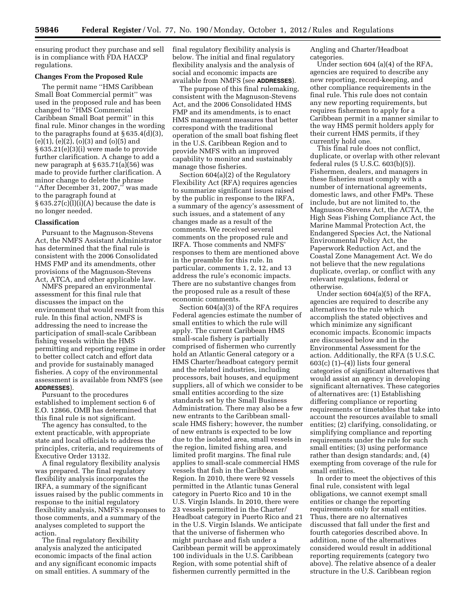ensuring product they purchase and sell is in compliance with FDA HACCP regulations.

#### **Changes From the Proposed Rule**

The permit name ''HMS Caribbean Small Boat Commercial permit'' was used in the proposed rule and has been changed to ''HMS Commercial Caribbean Small Boat permit'' in this final rule. Minor changes in the wording to the paragraphs found at  $§ 635.4(d)(3),$ (e)(1), (e)(2), (o)(3) and (o)(5) and § 635.21(e)(3)(i) were made to provide further clarification. A change to add a new paragraph at § 635.71(a)(56) was made to provide further clarification. A minor change to delete the phrase ''After December 31, 2007,'' was made to the paragraph found at  $§ 635.27(c)(l)(i)(A)$  because the date is no longer needed.

## **Classification**

Pursuant to the Magnuson-Stevens Act, the NMFS Assistant Administrator has determined that the final rule is consistent with the 2006 Consolidated HMS FMP and its amendments, other provisions of the Magnuson-Stevens Act, ATCA, and other applicable law.

NMFS prepared an environmental assessment for this final rule that discusses the impact on the environment that would result from this rule. In this final action, NMFS is addressing the need to increase the participation of small-scale Caribbean fishing vessels within the HMS permitting and reporting regime in order to better collect catch and effort data and provide for sustainably managed fisheries. A copy of the environmental assessment is available from NMFS (see **ADDRESSES**).

Pursuant to the procedures established to implement section 6 of E.O. 12866, OMB has determined that this final rule is not significant.

The agency has consulted, to the extent practicable, with appropriate state and local officials to address the principles, criteria, and requirements of Executive Order 13132.

A final regulatory flexibility analysis was prepared. The final regulatory flexibility analysis incorporates the IRFA, a summary of the significant issues raised by the public comments in response to the initial regulatory flexibility analysis, NMFS's responses to those comments, and a summary of the analyses completed to support the action.

The final regulatory flexibility analysis analyzed the anticipated economic impacts of the final action and any significant economic impacts on small entities. A summary of the

final regulatory flexibility analysis is below. The initial and final regulatory flexibility analysis and the analysis of social and economic impacts are available from NMFS (see **ADDRESSES**).

The purpose of this final rulemaking, consistent with the Magnuson-Stevens Act, and the 2006 Consolidated HMS FMP and its amendments, is to enact HMS management measures that better correspond with the traditional operation of the small boat fishing fleet in the U.S. Caribbean Region and to provide NMFS with an improved capability to monitor and sustainably manage those fisheries.

Section 604(a)(2) of the Regulatory Flexibility Act (RFA) requires agencies to summarize significant issues raised by the public in response to the IRFA, a summary of the agency's assessment of such issues, and a statement of any changes made as a result of the comments. We received several comments on the proposed rule and IRFA. Those comments and NMFS' responses to them are mentioned above in the preamble for this rule. In particular, comments 1, 2, 12, and 13 address the rule's economic impacts. There are no substantive changes from the proposed rule as a result of these economic comments.

Section 604(a)(3) of the RFA requires Federal agencies estimate the number of small entities to which the rule will apply. The current Caribbean HMS small-scale fishery is partially comprised of fishermen who currently hold an Atlantic General category or a HMS Charter/headboat category permit and the related industries, including processors, bait houses, and equipment suppliers, all of which we consider to be small entities according to the size standards set by the Small Business Administration. There may also be a few new entrants to the Caribbean smallscale HMS fishery; however, the number of new entrants is expected to be low due to the isolated area, small vessels in the region, limited fishing area, and limited profit margins. The final rule applies to small-scale commercial HMS vessels that fish in the Caribbean Region. In 2010, there were 92 vessels permitted in the Atlantic tunas General category in Puerto Rico and 10 in the U.S. Virgin Islands. In 2010, there were 23 vessels permitted in the Charter/ Headboat category in Puerto Rico and 21 in the U.S. Virgin Islands. We anticipate that the universe of fishermen who might purchase and fish under a Caribbean permit will be approximately 100 individuals in the U.S. Caribbean Region, with some potential shift of fishermen currently permitted in the

Angling and Charter/Headboat categories.

Under section 604 (a)(4) of the RFA, agencies are required to describe any new reporting, record-keeping, and other compliance requirements in the final rule. This rule does not contain any new reporting requirements, but requires fishermen to apply for a Caribbean permit in a manner similar to the way HMS permit holders apply for their current HMS permits, if they currently hold one.

This final rule does not conflict, duplicate, or overlap with other relevant federal rules (5 U.S.C. 603(b)(5)). Fishermen, dealers, and managers in these fisheries must comply with a number of international agreements, domestic laws, and other FMPs. These include, but are not limited to, the Magnuson-Stevens Act, the ACTA, the High Seas Fishing Compliance Act, the Marine Mammal Protection Act, the Endangered Species Act, the National Environmental Policy Act, the Paperwork Reduction Act, and the Coastal Zone Management Act. We do not believe that the new regulations duplicate, overlap, or conflict with any relevant regulations, federal or otherwise.

Under section 604(a)(5) of the RFA, agencies are required to describe any alternatives to the rule which accomplish the stated objectives and which minimize any significant economic impacts. Economic impacts are discussed below and in the Environmental Assessment for the action. Additionally, the RFA (5 U.S.C.  $603(c)$  (1)–(4)) lists four general categories of significant alternatives that would assist an agency in developing significant alternatives. These categories of alternatives are: (1) Establishing differing compliance or reporting requirements or timetables that take into account the resources available to small entities; (2) clarifying, consolidating, or simplifying compliance and reporting requirements under the rule for such small entities; (3) using performance rather than design standards; and, (4) exempting from coverage of the rule for small entities.

In order to meet the objectives of this final rule, consistent with legal obligations, we cannot exempt small entities or change the reporting requirements only for small entities. Thus, there are no alternatives discussed that fall under the first and fourth categories described above. In addition, none of the alternatives considered would result in additional reporting requirements (category two above). The relative absence of a dealer structure in the U.S. Caribbean region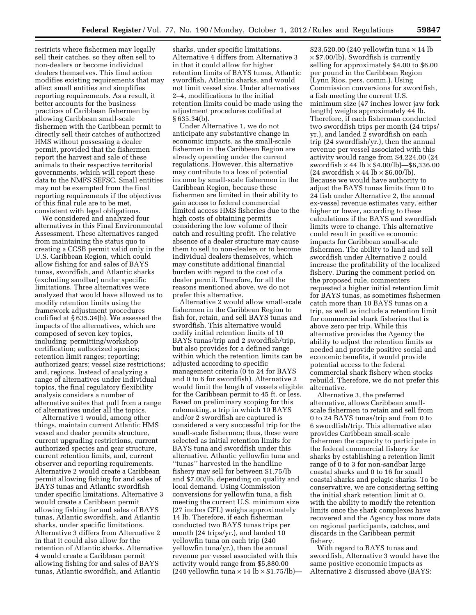restricts where fishermen may legally sell their catches, so they often sell to non-dealers or become individual dealers themselves. This final action modifies existing requirements that may affect small entities and simplifies reporting requirements. As a result, it better accounts for the business practices of Caribbean fishermen by allowing Caribbean small-scale fishermen with the Caribbean permit to directly sell their catches of authorized HMS without possessing a dealer permit, provided that the fishermen report the harvest and sale of these animals to their respective territorial governments, which will report these data to the NMFS SEFSC. Small entities may not be exempted from the final reporting requirements if the objectives of this final rule are to be met, consistent with legal obligations.

We considered and analyzed four alternatives in this Final Environmental Assessment. These alternatives ranged from maintaining the status quo to creating a CCSB permit valid only in the U.S. Caribbean Region, which could allow fishing for and sales of BAYS tunas, swordfish, and Atlantic sharks (excluding sandbar) under specific limitations. Three alternatives were analyzed that would have allowed us to modify retention limits using the framework adjustment procedures codified at § 635.34(b). We assessed the impacts of the alternatives, which are composed of seven key topics, including: permitting/workshop certification; authorized species; retention limit ranges; reporting; authorized gears; vessel size restrictions; and, regions. Instead of analyzing a range of alternatives under individual topics, the final regulatory flexibility analysis considers a number of alternative suites that pull from a range of alternatives under all the topics.

Alternative 1 would, among other things, maintain current Atlantic HMS vessel and dealer permits structure, current upgrading restrictions, current authorized species and gear structure, current retention limits, and, current observer and reporting requirements. Alternative 2 would create a Caribbean permit allowing fishing for and sales of BAYS tunas and Atlantic swordfish under specific limitations. Alternative 3 would create a Caribbean permit allowing fishing for and sales of BAYS tunas, Atlantic swordfish, and Atlantic sharks, under specific limitations. Alternative 3 differs from Alternative 2 in that it could also allow for the retention of Atlantic sharks. Alternative 4 would create a Caribbean permit allowing fishing for and sales of BAYS tunas, Atlantic swordfish, and Atlantic

sharks, under specific limitations. Alternative 4 differs from Alternative 3 in that it could allow for higher retention limits of BAYS tunas, Atlantic swordfish, Atlantic sharks, and would not limit vessel size. Under alternatives 2–4, modifications to the initial retention limits could be made using the adjustment procedures codified at § 635.34(b).

Under Alternative 1, we do not anticipate any substantive change in economic impacts, as the small-scale fishermen in the Caribbean Region are already operating under the current regulations. However, this alternative may contribute to a loss of potential income by small-scale fishermen in the Caribbean Region, because these fishermen are limited in their ability to gain access to federal commercial limited access HMS fisheries due to the high costs of obtaining permits considering the low volume of their catch and resulting profit. The relative absence of a dealer structure may cause them to sell to non-dealers or to become individual dealers themselves, which may constitute additional financial burden with regard to the cost of a dealer permit. Therefore, for all the reasons mentioned above, we do not prefer this alternative.

Alternative 2 would allow small-scale fishermen in the Caribbean Region to fish for, retain, and sell BAYS tunas and swordfish. This alternative would codify initial retention limits of 10 BAYS tunas/trip and 2 swordfish/trip, but also provides for a defined range within which the retention limits can be adjusted according to specific management criteria (0 to 24 for BAYS and 0 to 6 for swordfish). Alternative 2 would limit the length of vessels eligible for the Caribbean permit to 45 ft. or less. Based on preliminary scoping for this rulemaking, a trip in which 10 BAYS and/or 2 swordfish are captured is considered a very successful trip for the small-scale fishermen; thus, these were selected as initial retention limits for BAYS tuna and swordfish under this alternative. Atlantic yellowfin tuna and ''tunas'' harvested in the handline fishery may sell for between \$1.75/lb and \$7.00/lb, depending on quality and local demand. Using Commission conversions for yellowfin tuna, a fish meeting the current U.S. minimum size (27 inches CFL) weighs approximately 14 lb. Therefore, if each fisherman conducted two BAYS tunas trips per month (24 trips/yr.), and landed 10 yellowfin tuna on each trip (240 yellowfin tuna/yr.), then the annual revenue per vessel associated with this activity would range from \$5,880.00 (240 yellowfin tuna  $\times$  14 lb  $\times$  \$1.75/lb)-

\$23,520.00 (240 yellowfin tuna  $\times$  14 lb  $\times$  \$7.00/lb). Swordfish is currently selling for approximately \$4.00 to \$6.00 per pound in the Caribbean Region (Lynn Rios, pers. comm.). Using Commission conversions for swordfish, a fish meeting the current U.S. minimum size (47 inches lower jaw fork length) weighs approximately 44 lb. Therefore, if each fisherman conducted two swordfish trips per month (24 trips/ yr.), and landed 2 swordfish on each trip (24 swordfish/yr.), then the annual revenue per vessel associated with this activity would range from \$4,224.00 (24 swordfish  $\times$  44 lb  $\times$  \$4.00/lb)—\$6,336.00  $(24 \text{ swordfish} \times 44 \text{ lb} \times $6.00/\text{lb}).$ Because we would have authority to adjust the BAYS tunas limits from 0 to 24 fish under Alternative 2, the annual ex-vessel revenue estimates vary, either higher or lower, according to these calculations if the BAYS and swordfish limits were to change. This alternative could result in positive economic impacts for Caribbean small-scale fishermen. The ability to land and sell swordfish under Alternative 2 could increase the profitability of the localized fishery. During the comment period on the proposed rule, commenters requested a higher initial retention limit for BAYS tunas, as sometimes fishermen catch more than 10 BAYS tunas on a trip, as well as include a retention limit for commercial shark fisheries that is above zero per trip. While this alternative provides the Agency the ability to adjust the retention limits as needed and provide positive social and economic benefits, it would provide potential access to the federal commercial shark fishery when stocks rebuild. Therefore, we do not prefer this alternative.

Alternative 3, the preferred alternative, allows Caribbean smallscale fishermen to retain and sell from 0 to 24 BAYS tunas/trip and from 0 to 6 swordfish/trip. This alternative also provides Caribbean small-scale fishermen the capacity to participate in the federal commercial fishery for sharks by establishing a retention limit range of 0 to 3 for non-sandbar large coastal sharks and 0 to 16 for small coastal sharks and pelagic sharks. To be conservative, we are considering setting the initial shark retention limit at 0, with the ability to modify the retention limits once the shark complexes have recovered and the Agency has more data on regional participants, catches, and discards in the Caribbean permit fishery.

With regard to BAYS tunas and swordfish, Alternative 3 would have the same positive economic impacts as Alternative 2 discussed above (BAYS: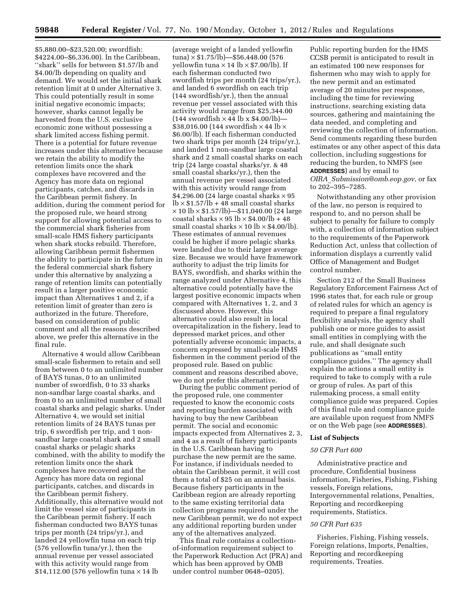\$5,880.00–\$23,520.00; swordfish: \$4224.00–\$6,336.00). In the Caribbean, ''shark'' sells for between \$1.57/lb and \$4.00/lb depending on quality and demand. We would set the initial shark retention limit at 0 under Alternative 3. This could potentially result in some initial negative economic impacts; however, sharks cannot legally be harvested from the U.S. exclusive economic zone without possessing a shark limited access fishing permit. There is a potential for future revenue increases under this alternative because we retain the ability to modify the retention limits once the shark complexes have recovered and the Agency has more data on regional participants, catches, and discards in the Caribbean permit fishery. In addition, during the comment period for the proposed rule, we heard strong support for allowing potential access to the commercial shark fisheries from small-scale HMS fishery participants when shark stocks rebuild. Therefore, allowing Caribbean permit fishermen the ability to participate in the future in the federal commercial shark fishery under this alternative by analyzing a range of retention limits can potentially result in a larger positive economic impact than Alternatives 1 and 2, if a retention limit of greater than zero is authorized in the future. Therefore, based on consideration of public comment and all the reasons described above, we prefer this alternative in the final rule.

Alternative 4 would allow Caribbean small-scale fishermen to retain and sell from between 0 to an unlimited number of BAYS tunas, 0 to an unlimited number of swordfish, 0 to 33 sharks non-sandbar large coastal sharks, and from 0 to an unlimited number of small coastal sharks and pelagic sharks. Under Alternative 4, we would set initial retention limits of 24 BAYS tunas per trip, 6 swordfish per trip, and 1 nonsandbar large coastal shark and 2 small coastal sharks or pelagic sharks combined, with the ability to modify the retention limits once the shark complexes have recovered and the Agency has more data on regional participants, catches, and discards in the Caribbean permit fishery. Additionally, this alternative would not limit the vessel size of participants in the Caribbean permit fishery. If each fisherman conducted two BAYS tunas trips per month (24 trips/yr.), and landed 24 yellowfin tuna on each trip (576 yellowfin tuna/yr.), then the annual revenue per vessel associated with this activity would range from \$14,112.00 (576 yellowfin tuna  $\times$  14 lb

(average weight of a landed yellowfin  $tuna$  × \$1.75/lb) - \$56,448.00 (576 yellowfin tuna  $\times$  14 lb  $\times$  \$7.00/lb). If each fisherman conducted two swordfish trips per month (24 trips/yr.), and landed 6 swordfish on each trip (144 swordfish/yr.), then the annual revenue per vessel associated with this activity would range from \$25,344.00  $(144$  swordfish  $\times$  44 lb x \$4.00/lb)-\$38,016.00 (144 swordfish  $\times$  44 lb  $\times$ \$6.00/lb). If each fisherman conducted two shark trips per month (24 trips/yr.), and landed 1 non-sandbar large coastal shark and 2 small coastal sharks on each trip (24 large coastal sharks/yr. & 48 small coastal sharks/yr.), then the annual revenue per vessel associated with this activity would range from \$4,296.00 (24 large coastal sharks  $\times$  95  $lb \times $1.57/lb + 48$  small coastal sharks  $\times$  10 lb  $\times$  \$1.57/lb)—\$11,040.00 (24 large coastal sharks  $\times$  95 lb  $\times$  \$4.00/lb + 48 small coastal sharks  $\times$  10 lb  $\times$  \$4.00/lb). These estimates of annual revenues could be higher if more pelagic sharks were landed due to their larger average size. Because we would have framework authority to adjust the trip limits for BAYS, swordfish, and sharks within the range analyzed under Alternative 4, this alternative could potentially have the largest positive economic impacts when compared with Alternatives 1, 2, and 3 discussed above. However, this alternative could also result in local overcapitalization in the fishery, lead to depressed market prices, and other potentially adverse economic impacts, a concern expressed by small-scale HMS fishermen in the comment period of the proposed rule. Based on public comment and reasons described above, we do not prefer this alternative.

During the public comment period of the proposed rule, one commenter requested to know the economic costs and reporting burden associated with having to buy the new Caribbean permit. The social and economic impacts expected from Alternatives 2, 3, and 4 as a result of fishery participants in the U.S. Caribbean having to purchase the new permit are the same. For instance, if individuals needed to obtain the Caribbean permit, it will cost them a total of \$25 on an annual basis. Because fishery participants in the Caribbean region are already reporting to the same existing territorial data collection programs required under the new Caribbean permit, we do not expect any additional reporting burden under any of the alternatives analyzed.

This final rule contains a collectionof-information requirement subject to the Paperwork Reduction Act (PRA) and which has been approved by OMB under control number 0648–0205).

Public reporting burden for the HMS CCSB permit is anticipated to result in an estimated 100 new responses for fishermen who may wish to apply for the new permit and an estimated average of 20 minutes per response, including the time for reviewing instructions, searching existing data sources, gathering and maintaining the data needed, and completing and reviewing the collection of information. Send comments regarding these burden estimates or any other aspect of this data collection, including suggestions for reducing the burden, to NMFS (see **ADDRESSES**) and by email to *OIRA*\_*[Submission@omb.eop.gov,](mailto:OIRA_Submission@omb.eop.gov)* or fax to 202–395–7285.

Notwithstanding any other provision of the law, no person is required to respond to, and no person shall be subject to penalty for failure to comply with, a collection of information subject to the requirements of the Paperwork Reduction Act, unless that collection of information displays a currently valid Office of Management and Budget control number.

Section 212 of the Small Business Regulatory Enforcement Fairness Act of 1996 states that, for each rule or group of related rules for which an agency is required to prepare a final regulatory flexibility analysis, the agency shall publish one or more guides to assist small entities in complying with the rule, and shall designate such publications as ''small entity compliance guides.'' The agency shall explain the actions a small entity is required to take to comply with a rule or group of rules. As part of this rulemaking process, a small entity compliance guide was prepared. Copies of this final rule and compliance guide are available upon request from NMFS or on the Web page (see **ADDRESSES**).

### **List of Subjects**

#### *50 CFR Part 600*

Administrative practice and procedure, Confidential business information, Fisheries, Fishing, Fishing vessels, Foreign relations, Intergovernmental relations, Penalties, Reporting and recordkeeping requirements, Statistics.

### *50 CFR Part 635*

Fisheries, Fishing, Fishing vessels, Foreign relations, Imports, Penalties, Reporting and recordkeeping requirements, Treaties.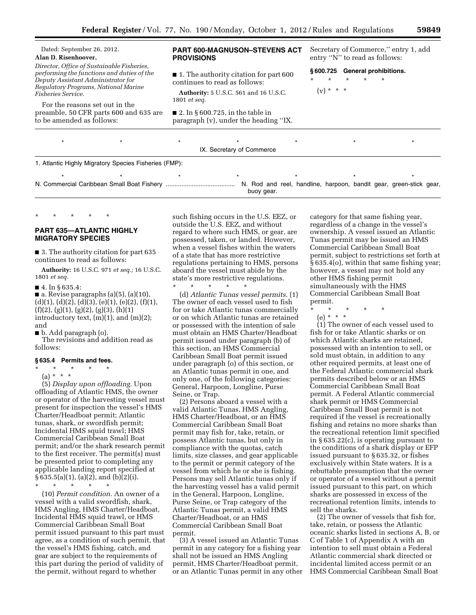## Dated: September 26, 2012. **Alan D. Risenhoover,**  *Director, Office of Sustainable Fisheries,*

*performing the functions and duties of the Deputy Assistant Administrator for Regulatory Programs, National Marine Fisheries Service.* 

For the reasons set out in the preamble, 50 CFR parts 600 and 635 are to be amended as follows:

# **PART 600-MAGNUSON–STEVENS ACT PROVISIONS**

■ 1. The authority citation for part 600 continues to read as follows:

**Authority:** 5 U.S.C. 561 and 16 U.S.C. 1801 *et seq.* 

 $\blacksquare$  2. In § 600.725, in the table in paragraph (v), under the heading ''IX. Secretary of Commerce,'' entry 1, add entry "N" to read as follows:

**§ 600.725 General prohibitions.** 

\* \* \* \* \*  $(v) * * * *$ 

\*\*\*\*\*\*\* IX. Secretary of Commerce 1. Atlantic Highly Migratory Species Fisheries (FMP): \* \* \* \* \* \* \* \* \* \* \* \* \* N. Commercial Caribbean Small Boat Fishery ........................................ N. Rod and reel, handline, harpoon, bandit gear, green-stick gear, buoy gear.

# **PART 635—ATLANTIC HIGHLY MIGRATORY SPECIES**

\* \* \* \* \*

■ 3. The authority citation for part 635 continues to read as follows:

**Authority:** 16 U.S.C. 971 *et seq.;* 16 U.S.C. 1801 *et seq.* 

■ 4. In § 635.4:

 $\blacksquare$  a. Revise paragraphs (a)(5), (a)(10),  $(d)(1), (d)(2), (d)(3), (e)(1), (e)(2), (f)(1),$  $(f)(2), (g)(1), (g)(2), (g)(3), (h)(1)$ introductory text,  $(m)(1)$ , and  $(m)(2)$ ; and

■ b. Add paragraph (o).

The revisions and addition read as follows:

#### **§ 635.4 Permits and fees.**

\* \* \* \* \* (a) \* \* \*

(5) *Display upon offloading.* Upon offloading of Atlantic HMS, the owner or operator of the harvesting vessel must present for inspection the vessel's HMS Charter/Headboat permit; Atlantic tunas, shark, or swordfish permit; Incidental HMS squid trawl; HMS Commercial Caribbean Small Boat permit; and/or the shark research permit to the first receiver. The permit(s) must be presented prior to completing any applicable landing report specified at § 635.5(a)(1), (a)(2), and (b)(2)(i).

\* \* \* \* \*

(10) *Permit condition.* An owner of a vessel with a valid swordfish, shark, HMS Angling, HMS Charter/Headboat, Incidental HMS squid trawl, or HMS Commercial Caribbean Small Boat permit issued pursuant to this part must agree, as a condition of such permit, that the vessel's HMS fishing, catch, and gear are subject to the requirements of this part during the period of validity of the permit, without regard to whether

such fishing occurs in the U.S. EEZ, or outside the U.S. EEZ, and without regard to where such HMS, or gear, are possessed, taken, or landed. However, when a vessel fishes within the waters of a state that has more restrictive regulations pertaining to HMS, persons aboard the vessel must abide by the state's more restrictive regulations.

\* \* \* \* \* (d) *Atlantic Tunas vessel permits.* (1) The owner of each vessel used to fish for or take Atlantic tunas commercially or on which Atlantic tunas are retained or possessed with the intention of sale must obtain an HMS Charter/Headboat permit issued under paragraph (b) of this section, an HMS Commercial Caribbean Small Boat permit issued under paragraph (o) of this section, or an Atlantic tunas permit in one, and only one, of the following categories: General, Harpoon, Longline, Purse Seine, or Trap.

(2) Persons aboard a vessel with a valid Atlantic Tunas, HMS Angling, HMS Charter/Headboat, or an HMS Commercial Caribbean Small Boat permit may fish for, take, retain, or possess Atlantic tunas, but only in compliance with the quotas, catch limits, size classes, and gear applicable to the permit or permit category of the vessel from which he or she is fishing. Persons may sell Atlantic tunas only if the harvesting vessel has a valid permit in the General, Harpoon, Longline, Purse Seine, or Trap category of the Atlantic Tunas permit, a valid HMS Charter/Headboat, or an HMS Commercial Caribbean Small Boat permit.

(3) A vessel issued an Atlantic Tunas permit in any category for a fishing year shall not be issued an HMS Angling permit, HMS Charter/Headboat permit, or an Atlantic Tunas permit in any other category for that same fishing year, regardless of a change in the vessel's ownership. A vessel issued an Atlantic Tunas permit may be issued an HMS Commercial Caribbean Small Boat permit, subject to restrictions set forth at § 635.4(o), within that same fishing year; however, a vessel may not hold any other HMS fishing permit simultaneously with the HMS Commercial Caribbean Small Boat permit.

- \* \* \* \* \*
- (e) \* \* \*

(1) The owner of each vessel used to fish for or take Atlantic sharks or on which Atlantic sharks are retained, possessed with an intention to sell, or sold must obtain, in addition to any other required permits, at least one of the Federal Atlantic commercial shark permits described below or an HMS Commercial Caribbean Small Boat permit. A Federal Atlantic commercial shark permit or HMS Commercial Caribbean Small Boat permit is not required if the vessel is recreationally fishing and retains no more sharks than the recreational retention limit specified in § 635.22(c), is operating pursuant to the conditions of a shark display or EFP issued pursuant to § 635.32, or fishes exclusively within State waters. It is a rebuttable presumption that the owner or operator of a vessel without a permit issued pursuant to this part, on which sharks are possessed in excess of the recreational retention limits, intends to sell the sharks.

(2) The owner of vessels that fish for, take, retain, or possess the Atlantic oceanic sharks listed in sections A, B, or C of Table 1 of Appendix A with an intention to sell must obtain a Federal Atlantic commercial shark directed or incidental limited access permit or an HMS Commercial Caribbean Small Boat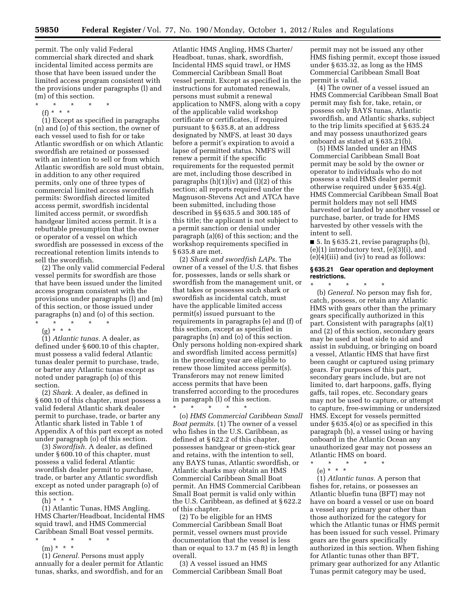permit. The only valid Federal commercial shark directed and shark incidental limited access permits are those that have been issued under the limited access program consistent with the provisions under paragraphs (l) and (m) of this section.

\* \* \* \* \*

 $(f) * * * *$ 

(1) Except as specified in paragraphs (n) and (o) of this section, the owner of each vessel used to fish for or take Atlantic swordfish or on which Atlantic swordfish are retained or possessed with an intention to sell or from which Atlantic swordfish are sold must obtain, in addition to any other required permits, only one of three types of commercial limited access swordfish permits: Swordfish directed limited access permit, swordfish incidental limited access permit, or swordfish handgear limited access permit. It is a rebuttable presumption that the owner or operator of a vessel on which swordfish are possessed in excess of the recreational retention limits intends to sell the swordfish.

(2) The only valid commercial Federal vessel permits for swordfish are those that have been issued under the limited access program consistent with the provisions under paragraphs (l) and (m) of this section, or those issued under paragraphs (n) and (o) of this section. \* \* \* \* \*

(g) \* \* \*

(1) *Atlantic tunas.* A dealer, as defined under § 600.10 of this chapter, must possess a valid federal Atlantic tunas dealer permit to purchase, trade, or barter any Atlantic tunas except as noted under paragraph (o) of this section.

(2) *Shark.* A dealer, as defined in § 600.10 of this chapter, must possess a valid federal Atlantic shark dealer permit to purchase, trade, or barter any Atlantic shark listed in Table 1 of Appendix A of this part except as noted under paragraph (o) of this section.

(3) *Swordfish.* A dealer, as defined under § 600.10 of this chapter, must possess a valid federal Atlantic swordfish dealer permit to purchase, trade, or barter any Atlantic swordfish except as noted under paragraph (o) of this section.

 $(h) * * * *$ 

(1) Atlantic Tunas, HMS Angling, HMS Charter/Headboat, Incidental HMS squid trawl, and HMS Commercial Caribbean Small Boat vessel permits.

- \* \* \* \* \*
- (m) \* \* \*

(1) *General.* Persons must apply annually for a dealer permit for Atlantic tunas, sharks, and swordfish, and for an

Atlantic HMS Angling, HMS Charter/ Headboat, tunas, shark, swordfish, Incidental HMS squid trawl, or HMS Commercial Caribbean Small Boat vessel permit. Except as specified in the instructions for automated renewals, persons must submit a renewal application to NMFS, along with a copy of the applicable valid workshop certificate or certificates, if required pursuant to § 635.8, at an address designated by NMFS, at least 30 days before a permit's expiration to avoid a lapse of permitted status. NMFS will renew a permit if the specific requirements for the requested permit are met, including those described in paragraphs (h)(1)(iv) and (l)(2) of this section; all reports required under the Magnuson-Stevens Act and ATCA have been submitted, including those described in §§ 635.5 and 300.185 of this title; the applicant is not subject to a permit sanction or denial under paragraph (a)(6) of this section; and the workshop requirements specified in § 635.8 are met.

(2) *Shark and swordfish LAPs.* The owner of a vessel of the U.S. that fishes for, possesses, lands or sells shark or swordfish from the management unit, or that takes or possesses such shark or swordfish as incidental catch, must have the applicable limited access permit(s) issued pursuant to the requirements in paragraphs (e) and (f) of this section, except as specified in paragraphs (n) and (o) of this section. Only persons holding non-expired shark and swordfish limited access permit(s) in the preceding year are eligible to renew those limited access permit(s). Transferors may not renew limited access permits that have been transferred according to the procedures in paragraph (l) of this section.

(o) *HMS Commercial Caribbean Small Boat permits.* (1) The owner of a vessel who fishes in the U.S. Caribbean, as defined at § 622.2 of this chapter, possesses handgear or green-stick gear and retains, with the intention to sell, any BAYS tunas, Atlantic swordfish, or Atlantic sharks may obtain an HMS Commercial Caribbean Small Boat permit. An HMS Commercial Caribbean Small Boat permit is valid only within the U.S. Caribbean, as defined at § 622.2 of this chapter.

\* \* \* \* \*

(2) To be eligible for an HMS Commercial Caribbean Small Boat permit, vessel owners must provide documentation that the vessel is less than or equal to 13.7 m (45 ft) in length overall.

(3) A vessel issued an HMS Commercial Caribbean Small Boat

permit may not be issued any other HMS fishing permit, except those issued under § 635.32, as long as the HMS Commercial Caribbean Small Boat permit is valid.

(4) The owner of a vessel issued an HMS Commercial Caribbean Small Boat permit may fish for, take, retain, or possess only BAYS tunas, Atlantic swordfish, and Atlantic sharks, subject to the trip limits specified at § 635.24 and may possess unauthorized gears onboard as stated at § 635.21(b).

(5) HMS landed under an HMS Commercial Caribbean Small Boat permit may be sold by the owner or operator to individuals who do not possess a valid HMS dealer permit otherwise required under § 635.4(g). HMS Commercial Caribbean Small Boat permit holders may not sell HMS harvested or landed by another vessel or purchase, barter, or trade for HMS harvested by other vessels with the intent to sell.

 $\blacksquare$  5. In § 635.21, revise paragraphs (b),  $(e)(1)$  introductory text,  $(e)(3)(i)$ , and (e)(4)(iii) and (iv) to read as follows:

### **§ 635.21 Gear operation and deployment restrictions.**

\* \* \* \* \* (b) *General.* No person may fish for, catch, possess, or retain any Atlantic HMS with gears other than the primary gears specifically authorized in this part. Consistent with paragraphs (a)(1) and (2) of this section, secondary gears may be used at boat side to aid and assist in subduing, or bringing on board a vessel, Atlantic HMS that have first been caught or captured using primary gears. For purposes of this part, secondary gears include, but are not limited to, dart harpoons, gaffs, flying gaffs, tail ropes, etc. Secondary gears may not be used to capture, or attempt to capture, free-swimming or undersized HMS. Except for vessels permitted under § 635.4(o) or as specified in this paragraph (b), a vessel using or having onboard in the Atlantic Ocean any unauthorized gear may not possess an Atlantic HMS on board.

\* \* \* \* \*

(e) \* \* \* (1) *Atlantic tunas.* A person that fishes for, retains, or possesses an Atlantic bluefin tuna (BFT) may not have on board a vessel or use on board a vessel any primary gear other than those authorized for the category for which the Atlantic tunas or HMS permit has been issued for such vessel. Primary gears are the gears specifically authorized in this section. When fishing for Atlantic tunas other than BFT, primary gear authorized for any Atlantic Tunas permit category may be used,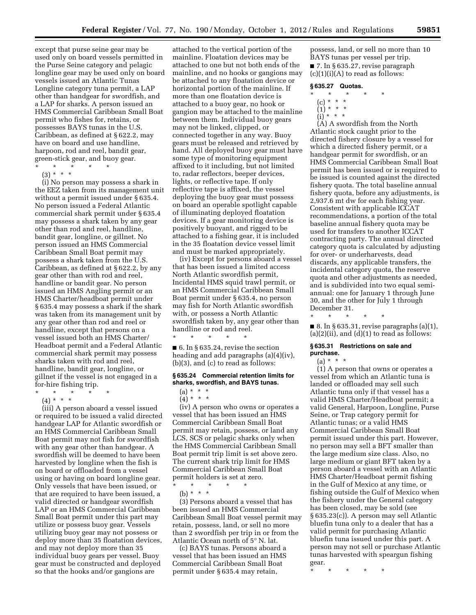except that purse seine gear may be used only on board vessels permitted in the Purse Seine category and pelagic longline gear may be used only on board vessels issued an Atlantic Tunas Longline category tuna permit, a LAP other than handgear for swordfish, and a LAP for sharks. A person issued an HMS Commercial Caribbean Small Boat permit who fishes for, retains, or possesses BAYS tunas in the U.S. Caribbean, as defined at § 622.2, may have on board and use handline, harpoon, rod and reel, bandit gear, green-stick gear, and buoy gear. \* \* \* \* \*

 $(3) * * * *$ 

(i) No person may possess a shark in the EEZ taken from its management unit without a permit issued under § 635.4. No person issued a Federal Atlantic commercial shark permit under § 635.4 may possess a shark taken by any gear other than rod and reel, handline, bandit gear, longline, or gillnet. No person issued an HMS Commercial Caribbean Small Boat permit may possess a shark taken from the U.S. Caribbean, as defined at § 622.2, by any gear other than with rod and reel, handline or bandit gear. No person issued an HMS Angling permit or an HMS Charter/headboat permit under § 635.4 may possess a shark if the shark was taken from its management unit by any gear other than rod and reel or handline, except that persons on a vessel issued both an HMS Charter/ Headboat permit and a Federal Atlantic commercial shark permit may possess sharks taken with rod and reel, handline, bandit gear, longline, or gillnet if the vessel is not engaged in a for-hire fishing trip.

\* \* \* \* \* (4) \* \* \*

(iii) A person aboard a vessel issued or required to be issued a valid directed handgear LAP for Atlantic swordfish or an HMS Commercial Caribbean Small Boat permit may not fish for swordfish with any gear other than handgear. A swordfish will be deemed to have been harvested by longline when the fish is on board or offloaded from a vessel using or having on board longline gear. Only vessels that have been issued, or that are required to have been issued, a valid directed or handgear swordfish LAP or an HMS Commercial Caribbean Small Boat permit under this part may utilize or possess buoy gear. Vessels utilizing buoy gear may not possess or deploy more than 35 floatation devices, and may not deploy more than 35 individual buoy gears per vessel. Buoy gear must be constructed and deployed so that the hooks and/or gangions are

attached to the vertical portion of the mainline. Floatation devices may be attached to one but not both ends of the mainline, and no hooks or gangions may be attached to any floatation device or horizontal portion of the mainline. If more than one floatation device is attached to a buoy gear, no hook or gangion may be attached to the mainline between them. Individual buoy gears may not be linked, clipped, or connected together in any way. Buoy gears must be released and retrieved by hand. All deployed buoy gear must have some type of monitoring equipment affixed to it including, but not limited to, radar reflectors, beeper devices, lights, or reflective tape. If only reflective tape is affixed, the vessel deploying the buoy gear must possess on board an operable spotlight capable of illuminating deployed floatation devices. If a gear monitoring device is positively buoyant, and rigged to be attached to a fishing gear, it is included in the 35 floatation device vessel limit and must be marked appropriately.

(iv) Except for persons aboard a vessel that has been issued a limited access North Atlantic swordfish permit, Incidental HMS squid trawl permit, or an HMS Commercial Caribbean Small Boat permit under § 635.4, no person may fish for North Atlantic swordfish with, or possess a North Atlantic swordfish taken by, any gear other than handline or rod and reel.

 $\blacksquare$  6. In § 635.24, revise the section heading and add paragraphs (a)(4)(iv), (b)(3), and (c) to read as follows:

# **§ 635.24 Commercial retention limits for sharks, swordfish, and BAYS tunas.**

 $(4) * * * *$ 

\* \* \* \* \*

(iv) A person who owns or operates a vessel that has been issued an HMS Commercial Caribbean Small Boat permit may retain, possess, or land any LCS, SCS or pelagic sharks only when the HMS Commercial Caribbean Small Boat permit trip limit is set above zero. The current shark trip limit for HMS Commercial Caribbean Small Boat permit holders is set at zero.

\* \* \* \* \*

(b) \* \* \*

(3) Persons aboard a vessel that has been issued an HMS Commercial Caribbean Small Boat vessel permit may retain, possess, land, or sell no more than 2 swordfish per trip in or from the Atlantic Ocean north of 5° N. lat.

(c) BAYS tunas. Persons aboard a vessel that has been issued an HMS Commercial Caribbean Small Boat permit under § 635.4 may retain,

possess, land, or sell no more than 10 BAYS tunas per vessel per trip. ■ 7. In § 635.27, revise paragraph  $(c)(1)(i)(A)$  to read as follows:

### **§ 635.27 Quotas.**

- \* \* \* \* \*
- (c) \* \* \*
- (1) \* \* \*
- $(i) * * * *$

(A) A swordfish from the North Atlantic stock caught prior to the directed fishery closure by a vessel for which a directed fishery permit, or a handgear permit for swordfish, or an HMS Commercial Caribbean Small Boat permit has been issued or is required to be issued is counted against the directed fishery quota. The total baseline annual fishery quota, before any adjustments, is 2,937.6 mt dw for each fishing year. Consistent with applicable ICCAT recommendations, a portion of the total baseline annual fishery quota may be used for transfers to another ICCAT contracting party. The annual directed category quota is calculated by adjusting for over- or underharvests, dead discards, any applicable transfers, the incidental category quota, the reserve quota and other adjustments as needed, and is subdivided into two equal semiannual: one for January 1 through June 30, and the other for July 1 through December 31.

\* \* \* \* \* ■ 8. In § 635.31, revise paragraphs  $(a)(1)$ ,  $(a)(2)(ii)$ , and  $(d)(1)$  to read as follows:

### **§ 635.31 Restrictions on sale and purchase.**

 $(a) * * * *$ 

(1) A person that owns or operates a vessel from which an Atlantic tuna is landed or offloaded may sell such Atlantic tuna only if that vessel has a valid HMS Charter/Headboat permit; a valid General, Harpoon, Longline, Purse Seine, or Trap category permit for Atlantic tunas; or a valid HMS Commercial Caribbean Small Boat permit issued under this part. However, no person may sell a BFT smaller than the large medium size class. Also, no large medium or giant BFT taken by a person aboard a vessel with an Atlantic HMS Charter/Headboat permit fishing in the Gulf of Mexico at any time, or fishing outside the Gulf of Mexico when the fishery under the General category has been closed, may be sold (see § 635.23(c)). A person may sell Atlantic bluefin tuna only to a dealer that has a valid permit for purchasing Atlantic bluefin tuna issued under this part. A person may not sell or purchase Atlantic tunas harvested with speargun fishing gear.

\* \* \* \* \*

<sup>(</sup>a) \* \* \*